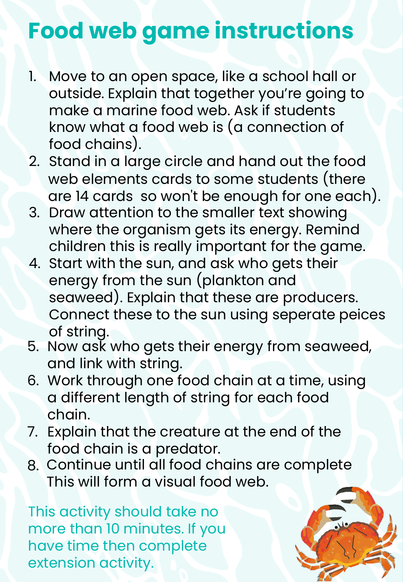# **Food web game instructions**

- **Step 3** Activities Explain that toget **Consumer/Predator** outside. Explain that together you're going to  $\sum_{i=1}^{n} f_{i}$  to day to follow that the following to focus on  $f_{i}$ know what a food web is (a connection of food chains). Explanation of the transfer of the transfer of the transfer of the transfer of the transfer of t 1. Move to an open space, like a school hall or make a marine food web. Ask if students
- energy between species. Introduce the terms 2. Stand in a large circle and hand out the food web elements cards to some students (there are 14 cards so won't be enough for one each).
- decide to the amollor to 3. Draw attention to the smaller text showing where the organism gets its energy. Remind consumers' and 'apex predators'. children this is really important for the game.
- **Activity 2 (Part 1): 15 minutes – Making a food web** energy from the sun (plankton and seaweed). Explain that these are producers. Connect these to the sun using seperate peices  $\,$ food web. Ask if students know what marine a food web is 4. Start with the sun, and ask who gets their of string.
- 5. Now ask who gets their energy from seaweed, and link with string.
- Hand out the *food web elements* cards to some 6. Work through one food chain at a time, using int langth of string for each a different length of string for each food chain.
- $\frac{1}{2}$  shat the executive at the sun 7. Explain that the creature at the end of the food chain is a predator.  $\hspace{0.1cm}$
- $\sim$   $\frac{1}{\sqrt{1}}$  all food obei 8. Continue until all food chains are complete This will form a visual food web.

This activity should take no more than 10 minutes. If you have time then complete extension activity.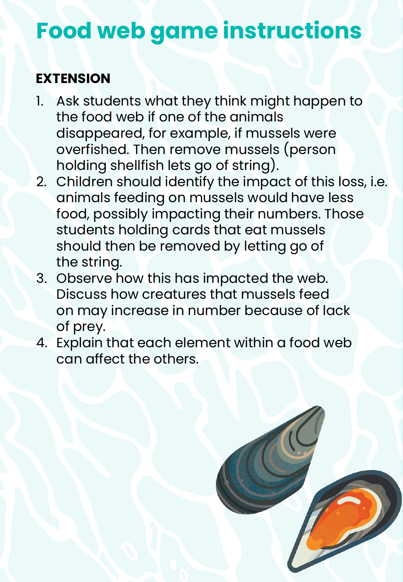## **Food web game instructions**

### **EXTENSION**

- 1. Ask students what they think might happen to **Consumer/Predator** disappeared, for example, if mussels were holding shellfish lets go of string). the food web if one of the animals overfished. Then remove mussels (person
- $\sum_{i=1}^{n}$ animals feeding on mussels would have less  $f(x) = \frac{1}{2} \int_0^x \frac{1}{2} \cos \theta \cos \theta \sin \theta \cos \theta$ food, possibly impacting their numbers. Those students holding cards that eat mussels  $\frac{1}{2}$ should then be removed by letting go of 2. Children should identify the impact of this loss, i.e. the string.
- **Activity 2 (Part 1): 15 minutes – Making a food**  3. Observe how this has impacted the web. **web** Discuss how creatures that mussels feed on may increase in number because of lack of prey.
- food web. Ask if students know what a food web is 4. Explain that each element within a food web Hand out the *food web elements* cards to some can affect the others.

game. Start with the sun, and ask who gets their

seaweed). Connect these to the sun using string.

Now ask who gets their energy from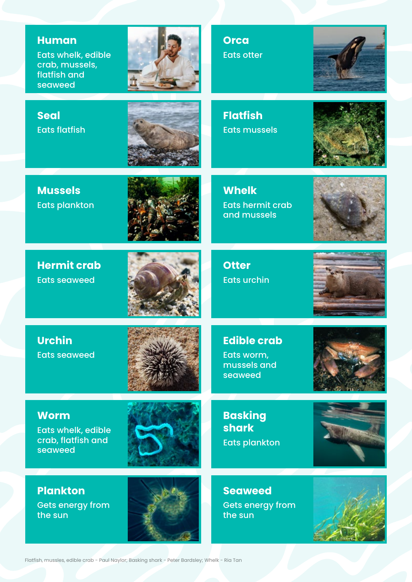#### **Human**

Eats whelk, edible crab, mussels, flatfish and seaweed



**Orca** Eats otter



**Seal** Eats flatfish



**Flatfish** Eats mussels



**Mussels**  Eats plankton



**Hermit crab** Eats seaweed



**Otter** Eats urchin

**Whelk**

Eats hermit crab and mussels



**Urchin** Eats seaweed



**Edible crab**

Eats worm, mussels and seaweed



#### **Worm**

Eats whelk, edible crab, flatfish and seaweed



**Plankton** Gets energy from the sun



**Basking shark** Eats plankton



**Seaweed** Gets energy from the sun

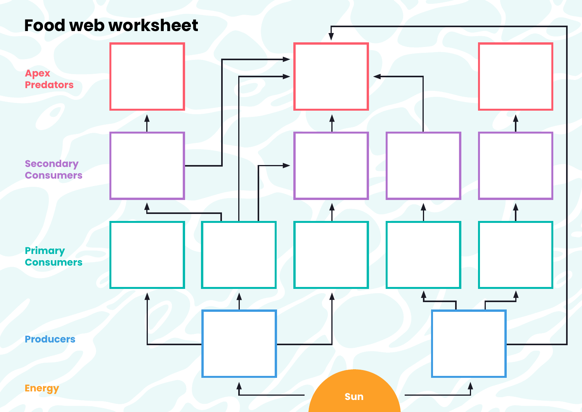## **Food web worksheet**